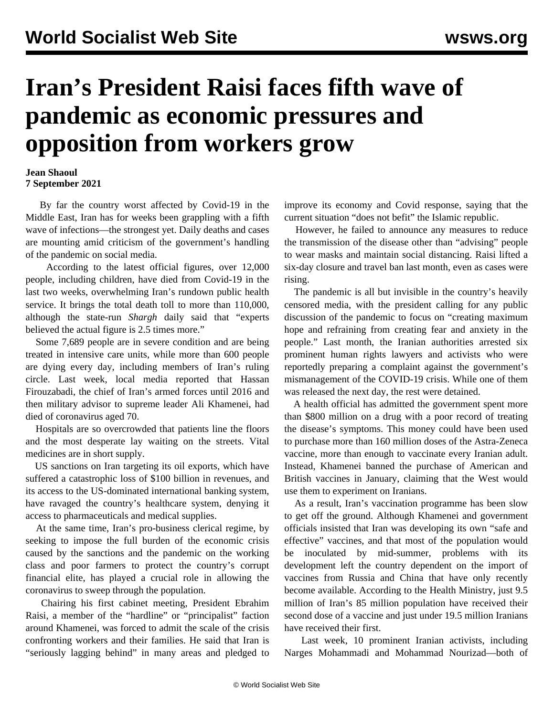## **Iran's President Raisi faces fifth wave of pandemic as economic pressures and opposition from workers grow**

## **Jean Shaoul 7 September 2021**

 By far the country worst affected by Covid-19 in the Middle East, Iran has for weeks been grappling with a fifth wave of infections—the strongest yet. Daily deaths and cases are mounting amid criticism of the government's handling of the pandemic on social media.

 According to the latest official figures, over 12,000 people, including children, have died from Covid-19 in the last two weeks, overwhelming Iran's rundown public health service. It brings the total death toll to more than 110,000, although the state-run *Shargh* daily said that "experts believed the actual figure is 2.5 times more."

 Some 7,689 people are in severe condition and are being treated in intensive care units, while more than 600 people are dying every day, including members of Iran's ruling circle. Last week, local media reported that Hassan Firouzabadi, the chief of Iran's armed forces until 2016 and then military advisor to supreme leader Ali Khamenei, had died of coronavirus aged 70.

 Hospitals are so overcrowded that patients line the floors and the most desperate lay waiting on the streets. Vital medicines are in short supply.

 US sanctions on Iran targeting its oil exports, which have suffered a catastrophic loss of \$100 billion in revenues, and its access to the US-dominated international banking system, have ravaged the country's healthcare system, denying it access to pharmaceuticals and medical supplies.

 At the same time, Iran's pro-business clerical regime, by seeking to impose the full burden of the economic crisis caused by the sanctions and the pandemic on the working class and poor farmers to protect the country's corrupt financial elite, has played a crucial role in allowing the coronavirus to sweep through the population.

 Chairing his first cabinet meeting, President Ebrahim Raisi, a member of the "hardline" or "principalist" faction around Khamenei, was forced to admit the scale of the crisis confronting workers and their families. He said that Iran is "seriously lagging behind" in many areas and pledged to improve its economy and Covid response, saying that the current situation "does not befit" the Islamic republic.

 However, he failed to announce any measures to reduce the transmission of the disease other than "advising" people to wear masks and maintain social distancing. Raisi lifted a six-day closure and travel ban last month, even as cases were rising.

 The pandemic is all but invisible in the country's heavily censored media, with the president calling for any public discussion of the pandemic to focus on "creating maximum hope and refraining from creating fear and anxiety in the people." Last month, the Iranian authorities arrested six prominent human rights lawyers and activists who were reportedly preparing a complaint against the government's mismanagement of the COVID-19 crisis. While one of them was released the next day, the rest were detained.

 A health official has admitted the government spent more than \$800 million on a drug with a poor record of treating the disease's symptoms. This money could have been used to purchase more than 160 million doses of the Astra-Zeneca vaccine, more than enough to vaccinate every Iranian adult. Instead, Khamenei banned the purchase of American and British vaccines in January, claiming that the West would use them to experiment on Iranians.

 As a result, Iran's vaccination programme has been slow to get off the ground. Although Khamenei and government officials insisted that Iran was developing its own "safe and effective" vaccines, and that most of the population would be inoculated by mid-summer, problems with its development left the country dependent on the import of vaccines from Russia and China that have only recently become available. According to the Health Ministry, just 9.5 million of Iran's 85 million population have received their second dose of a vaccine and just under 19.5 million Iranians have received their first.

 Last week, 10 prominent Iranian activists, including Narges Mohammadi and Mohammad Nourizad—both of